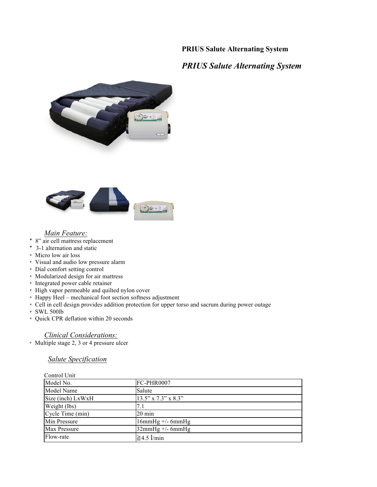# **PRIUS Salute Alternating System**

# *PRIUS Salute Alternating System*





#### *Main Feature:*

- \* 8" air cell mattress replacement
- \* 3-1 alternation and static
- \* Micro low air loss
- \* Visual and audio low pressure alarm
- \* Dial comfort setting control
- \* Modularized design for air mattress
- \* Integrated power cable retainer
- \* High vapor permeable and quilted nylon cover
- \* Happy Heel mechanical foot section softness adjustment
- \* Cell in cell design provides addition protection for upper torso and sacrum during power outage
- \* SWL 500lb
- \* Quick CPR deflation within 20 seconds

### *Clinical Considerations:*

\* Multiple stage 2, 3 or 4 pressure ulcer

## *Salute Specification*

| Control Unit      |                     |
|-------------------|---------------------|
| Model No.         | FC-PHR0007          |
| Model Name        | Salute              |
| Size (inch) LxWxH | 13.5" x 7.3" x 8.3" |
| Weight (lbs)      |                     |
| Cycle Time (min)  | $20 \text{ min}$    |
| Min Pressure      | $16mmHg$ +/- 6mmHg  |
| Max Pressure      | $32mmHg$ +/- 6mmHg  |
| Flow-rate         | $\geq 4.5$ l/min    |